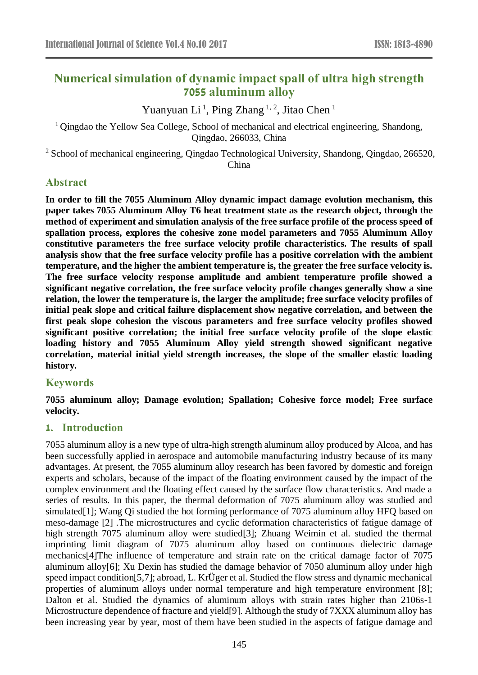# **Numerical simulation of dynamic impact spall of ultra high strength 7055 aluminum alloy**

Yuanyuan Li<sup>1</sup>, Ping Zhang<sup>1, 2</sup>, Jitao Chen<sup>1</sup>

<sup>1</sup> Qingdao the Yellow Sea College, School of mechanical and electrical engineering, Shandong, Qingdao, 266033, China

<sup>2</sup> School of mechanical engineering, Qingdao Technological University, Shandong, Qingdao, 266520, China

## **Abstract**

**In order to fill the 7055 Aluminum Alloy dynamic impact damage evolution mechanism, this paper takes 7055 Aluminum Alloy T6 heat treatment state as the research object, through the method of experiment and simulation analysis of the free surface profile of the process speed of spallation process, explores the cohesive zone model parameters and 7055 Aluminum Alloy constitutive parameters the free surface velocity profile characteristics. The results of spall analysis show that the free surface velocity profile has a positive correlation with the ambient temperature, and the higher the ambient temperature is, the greater the free surface velocity is. The free surface velocity response amplitude and ambient temperature profile showed a significant negative correlation, the free surface velocity profile changes generally show a sine relation, the lower the temperature is, the larger the amplitude; free surface velocity profiles of initial peak slope and critical failure displacement show negative correlation, and between the first peak slope cohesion the viscous parameters and free surface velocity profiles showed significant positive correlation; the initial free surface velocity profile of the slope elastic loading history and 7055 Aluminum Alloy yield strength showed significant negative correlation, material initial yield strength increases, the slope of the smaller elastic loading history.**

## **Keywords**

**7055 aluminum alloy; Damage evolution; Spallation; Cohesive force model; Free surface velocity.**

## **1. Introduction**

7055 aluminum alloy is a new type of ultra-high strength aluminum alloy produced by Alcoa, and has been successfully applied in aerospace and automobile manufacturing industry because of its many advantages. At present, the 7055 aluminum alloy research has been favored by domestic and foreign experts and scholars, because of the impact of the floating environment caused by the impact of the complex environment and the floating effect caused by the surface flow characteristics. And made a series of results. In this paper, the thermal deformation of 7075 aluminum alloy was studied and simulated[1]; Wang Qi studied the hot forming performance of 7075 aluminum alloy HFQ based on meso-damage [2] .The microstructures and cyclic deformation characteristics of fatigue damage of high strength 7075 aluminum alloy were studied[3]; Zhuang Weimin et al. studied the thermal imprinting limit diagram of 7075 aluminum alloy based on continuous dielectric damage mechanics[4]The influence of temperature and strain rate on the critical damage factor of 7075 aluminum alloy[6]; Xu Dexin has studied the damage behavior of 7050 aluminum alloy under high speed impact condition[5,7]; abroad, L. KrÜger et al. Studied the flow stress and dynamic mechanical properties of aluminum alloys under normal temperature and high temperature environment [8]; Dalton et al. Studied the dynamics of aluminum alloys with strain rates higher than 2106s-1 Microstructure dependence of fracture and yield[9]. Although the study of 7XXX aluminum alloy has been increasing year by year, most of them have been studied in the aspects of fatigue damage and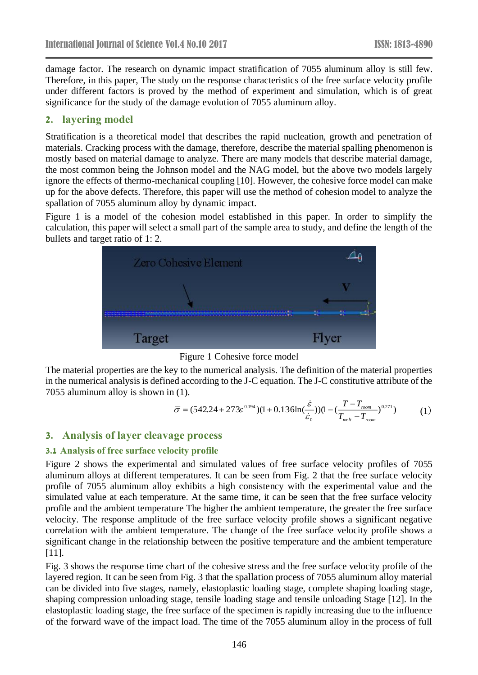damage factor. The research on dynamic impact stratification of 7055 aluminum alloy is still few. Therefore, in this paper, The study on the response characteristics of the free surface velocity profile under different factors is proved by the method of experiment and simulation, which is of great significance for the study of the damage evolution of 7055 aluminum alloy.

### **2. layering model**

Stratification is a theoretical model that describes the rapid nucleation, growth and penetration of materials. Cracking process with the damage, therefore, describe the material spalling phenomenon is mostly based on material damage to analyze. There are many models that describe material damage, the most common being the Johnson model and the NAG model, but the above two models largely ignore the effects of thermo-mechanical coupling [10]. However, the cohesive force model can make up for the above defects. Therefore, this paper will use the method of cohesion model to analyze the spallation of 7055 aluminum alloy by dynamic impact.

Figure 1 is a model of the cohesion model established in this paper. In order to simplify the calculation, this paper will select a small part of the sample area to study, and define the length of the bullets and target ratio of 1: 2.



Figure 1 Cohesive force model

The material properties are the key to the numerical analysis. The definition of the material properties in the numerical analysis is defined according to the J-C equation. The J-C constitutive attribute of the 7055 aluminum alloy is shown in (1).

$$
\overline{\sigma} = (542.24 + 273\epsilon^{0.194})(1 + 0.136\ln(\frac{\dot{\varepsilon}}{\dot{\varepsilon}_0})) (1 - (\frac{T - T_{\text{mom}}}{T_{\text{mel}} - T_{\text{mom}}})^{0.271})
$$
(1)

## **3. Analysis of layer cleavage process**

#### **3.1 Analysis of free surface velocity profile**

Figure 2 shows the experimental and simulated values of free surface velocity profiles of 7055 aluminum alloys at different temperatures. It can be seen from Fig. 2 that the free surface velocity profile of 7055 aluminum alloy exhibits a high consistency with the experimental value and the simulated value at each temperature. At the same time, it can be seen that the free surface velocity profile and the ambient temperature The higher the ambient temperature, the greater the free surface velocity. The response amplitude of the free surface velocity profile shows a significant negative correlation with the ambient temperature. The change of the free surface velocity profile shows a significant change in the relationship between the positive temperature and the ambient temperature [11].

Fig. 3 shows the response time chart of the cohesive stress and the free surface velocity profile of the layered region. It can be seen from Fig. 3 that the spallation process of 7055 aluminum alloy material can be divided into five stages, namely, elastoplastic loading stage, complete shaping loading stage, shaping compression unloading stage, tensile loading stage and tensile unloading Stage [12]. In the elastoplastic loading stage, the free surface of the specimen is rapidly increasing due to the influence of the forward wave of the impact load. The time of the 7055 aluminum alloy in the process of full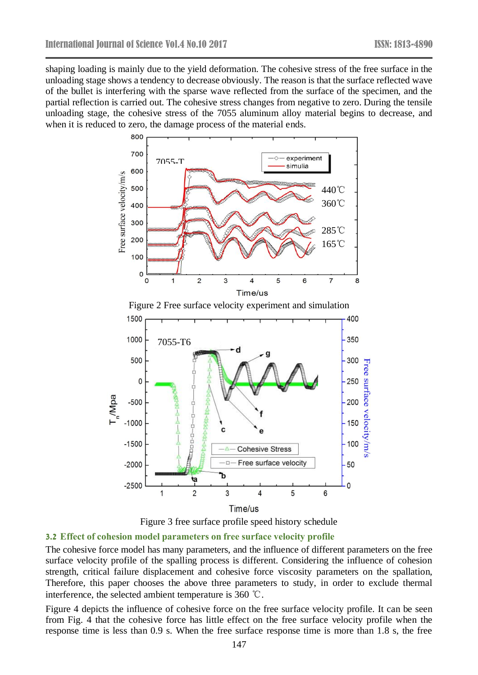shaping loading is mainly due to the yield deformation. The cohesive stress of the free surface in the unloading stage shows a tendency to decrease obviously. The reason is that the surface reflected wave of the bullet is interfering with the sparse wave reflected from the surface of the specimen, and the partial reflection is carried out. The cohesive stress changes from negative to zero. During the tensile unloading stage, the cohesive stress of the 7055 aluminum alloy material begins to decrease, and when it is reduced to zero, the damage process of the material ends.







#### **3.2 Effect of cohesion model parameters on free surface velocity profile**

The cohesive force model has many parameters, and the influence of different parameters on the free surface velocity profile of the spalling process is different. Considering the influence of cohesion strength, critical failure displacement and cohesive force viscosity parameters on the spallation, Therefore, this paper chooses the above three parameters to study, in order to exclude thermal interference, the selected ambient temperature is 360 ℃.

Figure 4 depicts the influence of cohesive force on the free surface velocity profile. It can be seen from Fig. 4 that the cohesive force has little effect on the free surface velocity profile when the response time is less than 0.9 s. When the free surface response time is more than 1.8 s, the free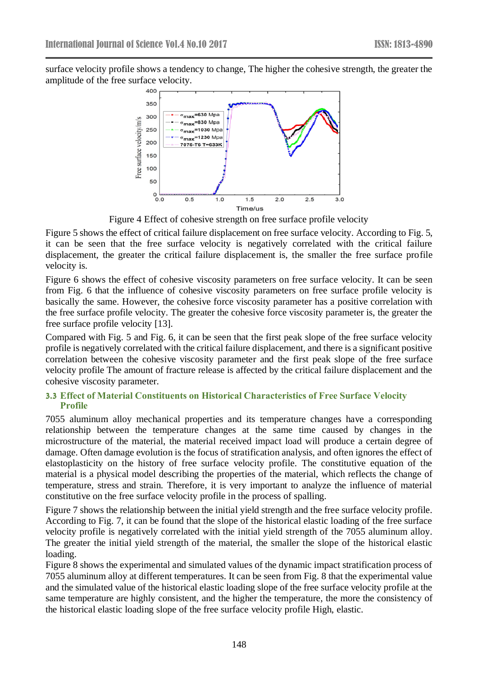surface velocity profile shows a tendency to change, The higher the cohesive strength, the greater the amplitude of the free surface velocity.



Figure 4 Effect of cohesive strength on free surface profile velocity

Figure 5 shows the effect of critical failure displacement on free surface velocity. According to Fig. 5, it can be seen that the free surface velocity is negatively correlated with the critical failure displacement, the greater the critical failure displacement is, the smaller the free surface profile velocity is.

Figure 6 shows the effect of cohesive viscosity parameters on free surface velocity. It can be seen from Fig. 6 that the influence of cohesive viscosity parameters on free surface profile velocity is basically the same. However, the cohesive force viscosity parameter has a positive correlation with the free surface profile velocity. The greater the cohesive force viscosity parameter is, the greater the free surface profile velocity [13].

Compared with Fig. 5 and Fig. 6, it can be seen that the first peak slope of the free surface velocity profile is negatively correlated with the critical failure displacement, and there is a significant positive correlation between the cohesive viscosity parameter and the first peak slope of the free surface velocity profile The amount of fracture release is affected by the critical failure displacement and the cohesive viscosity parameter.

#### **3.3 Effect of Material Constituents on Historical Characteristics of Free Surface Velocity Profile**

7055 aluminum alloy mechanical properties and its temperature changes have a corresponding relationship between the temperature changes at the same time caused by changes in the microstructure of the material, the material received impact load will produce a certain degree of damage. Often damage evolution is the focus of stratification analysis, and often ignores the effect of elastoplasticity on the history of free surface velocity profile. The constitutive equation of the material is a physical model describing the properties of the material, which reflects the change of temperature, stress and strain. Therefore, it is very important to analyze the influence of material constitutive on the free surface velocity profile in the process of spalling.

Figure 7 shows the relationship between the initial yield strength and the free surface velocity profile. According to Fig. 7, it can be found that the slope of the historical elastic loading of the free surface velocity profile is negatively correlated with the initial yield strength of the 7055 aluminum alloy. The greater the initial yield strength of the material, the smaller the slope of the historical elastic loading.

Figure 8 shows the experimental and simulated values of the dynamic impact stratification process of 7055 aluminum alloy at different temperatures. It can be seen from Fig. 8 that the experimental value and the simulated value of the historical elastic loading slope of the free surface velocity profile at the same temperature are highly consistent, and the higher the temperature, the more the consistency of the historical elastic loading slope of the free surface velocity profile High, elastic.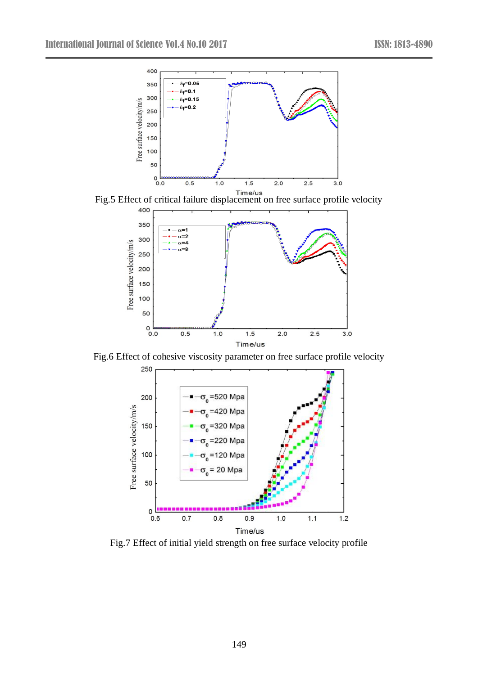

Fig.5 Effect of critical failure displacement on free surface profile velocity



Fig.6 Effect of cohesive viscosity parameter on free surface profile velocity



Fig.7 Effect of initial yield strength on free surface velocity profile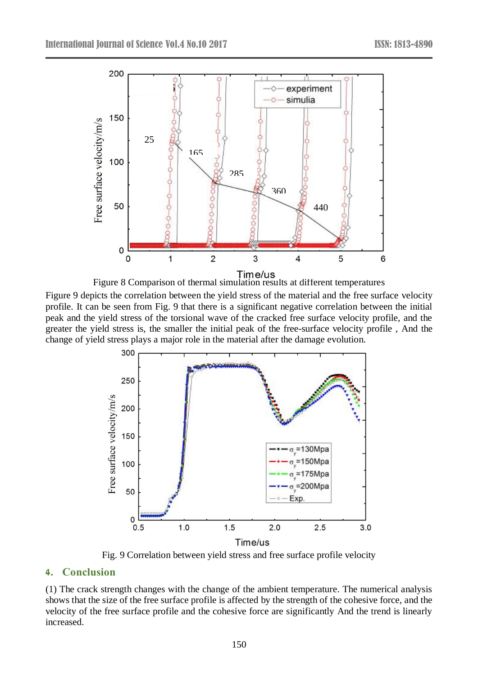

Figure 8 Comparison of thermal simulation results at different temperatures

Figure 9 depicts the correlation between the yield stress of the material and the free surface velocity profile. It can be seen from Fig. 9 that there is a significant negative correlation between the initial peak and the yield stress of the torsional wave of the cracked free surface velocity profile, and the greater the yield stress is, the smaller the initial peak of the free-surface velocity profile , And the change of yield stress plays a major role in the material after the damage evolution.



Fig. 9 Correlation between yield stress and free surface profile velocity

#### **4. Conclusion**

(1) The crack strength changes with the change of the ambient temperature. The numerical analysis shows that the size of the free surface profile is affected by the strength of the cohesive force, and the velocity of the free surface profile and the cohesive force are significantly And the trend is linearly increased.